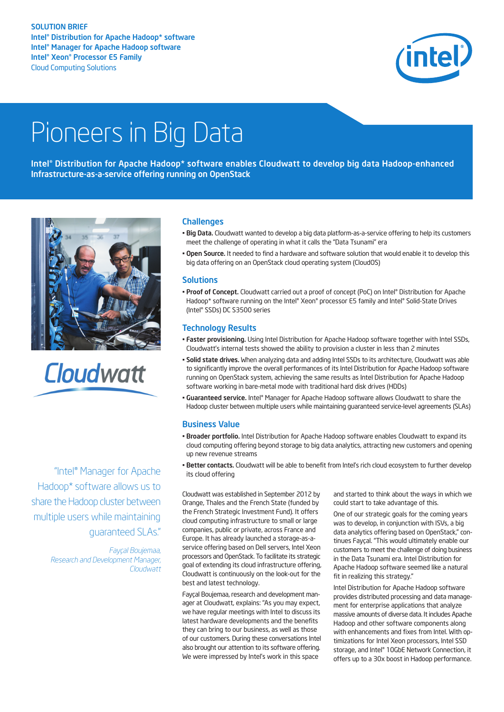#### SOLUTION BRIEF Intel<sup>®</sup> Distribution for Apache Hadoop\* software Intel®Manager for Apache Hadoop software Intel® Xeon® Processor E5 Family Cloud Computing Solutions



# Pioneers in Big Data

Intel®Distribution for Apache Hadoop\* software enables Cloudwatt to develop big data Hadoop-enhanced Infrastructure-as-a-service offering running on OpenStack



Cloudwatt

"Intel® Manager for Apache Hadoop\* software allows us to share the Hadoop cluster between multiple users while maintaining guaranteed SLAs."

> *Fayçal Boujemaa, Research and Development Manager, Cloudwatt*

### **Challenges**

- Big Data. Cloudwatt wanted to develop a big data platform-as-a-service offering to help its customers meet the challenge of operating in what it calls the "Data Tsunami" era
- Open Source. It needed to find a hardware and software solution that would enable it to develop this big data offering on an OpenStack cloud operating system (CloudOS)

#### **Solutions**

• Proof of Concept. Cloudwatt carried out a proof of concept (PoC) on Intel® Distribution for Apache Hadoop\* software running on the Intel® Xeon® processor E5 family and Intel® Solid-State Drives (Intel® SSDs) DC S3500 series

#### Technology Results

- Faster provisioning. Using Intel Distribution for Apache Hadoop software together with Intel SSDs, Cloudwatt's internal tests showed the ability to provision a cluster in less than 2 minutes
- Solid state drives. When analyzing data and adding Intel SSDs to its architecture, Cloudwatt was able to significantly improve the overall performances of its Intel Distribution for Apache Hadoop software running on OpenStack system, achieving the same results as Intel Distribution for Apache Hadoop software working in bare-metal mode with traditional hard disk drives (HDDs)
- **Guaranteed service.** Intel® Manager for Apache Hadoop software allows Cloudwatt to share the Hadoop cluster between multiple users while maintaining guaranteed service-level agreements (SLAs)

#### Business Value

- Broader portfolio. Intel Distribution for Apache Hadoop software enables Cloudwatt to expand its cloud computing offering beyond storage to big data analytics, attracting new customers and opening up new revenue streams
- Better contacts. Cloudwatt will be able to benefit from Intel's rich cloud ecosystem to further develop its cloud offering

Cloudwatt was established in September 2012 by Orange, Thales and the French State (funded by the French Strategic Investment Fund). It offers cloud computing infrastructure to small or large companies, public or private, across France and Europe. It has already launched a storage-as-aservice offering based on Dell servers, Intel Xeon processors and OpenStack. To facilitate its strategic goal of extending its cloud infrastructure offering, Cloudwatt is continuously on the look-out for the best and latest technology.

Fayçal Boujemaa, research and development manager at Cloudwatt, explains: "As you may expect, we have regular meetings with Intel to discuss its latest hardware developments and the benefits they can bring to our business, as well as those of our customers. During these conversations Intel also brought our attention to its software offering. We were impressed by Intel's work in this space

and started to think about the ways in which we could start to take advantage of this.

One of our strategic goals for the coming years was to develop, in conjunction with ISVs, a big data analytics offering based on OpenStack," continues Fayçal. "This would ultimately enable our customers to meet the challenge of doing business in the Data Tsunami era. Intel Distribution for Apache Hadoop software seemed like a natural fit in realizing this strategy."

Intel Distribution for Apache Hadoop software provides distributed processing and data management for enterprise applications that analyze massive amounts of diverse data. It includes Apache Hadoop and other software components along with enhancements and fixes from Intel. With optimizations for Intel Xeon processors, Intel SSD storage, and Intel® 10GbE Network Connection, it offers up to a 30x boost in Hadoop performance.